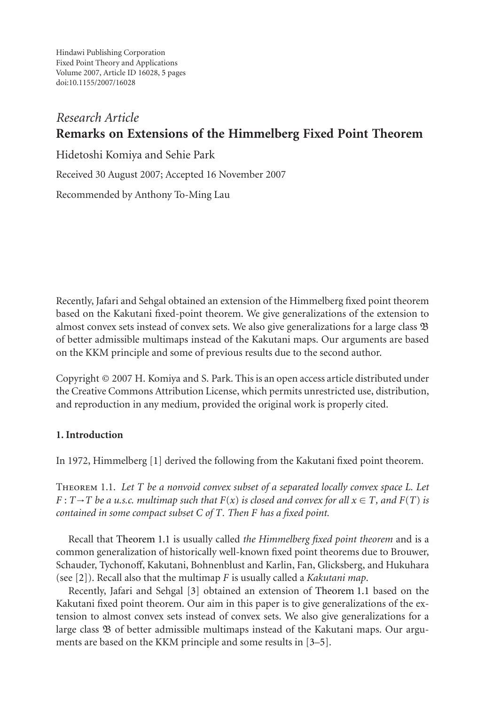Hindawi Publishing Corporation Fixed Point Theory and Applications Volume 2007, Article ID 16028, [5](#page-3-0) pages doi:10.1155/2007/16028

# *Research Article* **Remarks on Extensions of the Himmelberg Fixed Point Theorem**

Hidetoshi Komiya and Sehie Park

Received 30 August 2007; Accepted 16 November 2007

Recommended by Anthony To-Ming Lau

Recently, Jafari and Sehgal obtained an extension of the Himmelberg fixed point theorem based on the Kakutani fixed-point theorem. We give generalizations of the extension to almost convex sets instead of convex sets. We also give generalizations for a large class B of better admissible multimaps instead of the Kakutani maps. Our arguments are based on the KKM principle and some of previous results due to the second author.

Copyright © 2007 H. Komiya and S. Park. This is an open access article distributed under the Creative Commons Attribution License, which permits unrestricted use, distribution, and reproduction in any medium, provided the original work is properly cited.

# **1. Introduction**

<span id="page-0-0"></span>In 1972, Himmelberg [\[1\]](#page-3-1) derived the following from the Kakutani fixed point theorem.

Theorem 1.1. *Let T be a nonvoid convex subset of a separated locally convex space L. Let*  $F: T \rightarrow T$  *be a u.s.c. multimap such that*  $F(x)$  *is closed and convex for all*  $x \in T$ *, and*  $F(T)$  *is contained in some compact subset C of T. Then F has a fixed point.*

Recall that [Theorem 1.1](#page-0-0) is usually called *the Himmelberg fixed point theorem* and is a common generalization of historically well-known fixed point theorems due to Brouwer, Schauder, Tychonoff, Kakutani, Bohnenblust and Karlin, Fan, Glicksberg, and Hukuhara (see [\[2](#page-3-2)]). Recall also that the multimap *F* is usually called a *Kakutani map*.

Recently, Jafari and Sehgal [\[3\]](#page-3-3) obtained an extension of [Theorem 1.1](#page-0-0) based on the Kakutani fixed point theorem. Our aim in this paper is to give generalizations of the extension to almost convex sets instead of convex sets. We also give generalizations for a large class  $\mathfrak B$  of better admissible multimaps instead of the Kakutani maps. Our arguments are based on the KKM principle and some results in [\[3](#page-3-3)[–5\]](#page-3-4).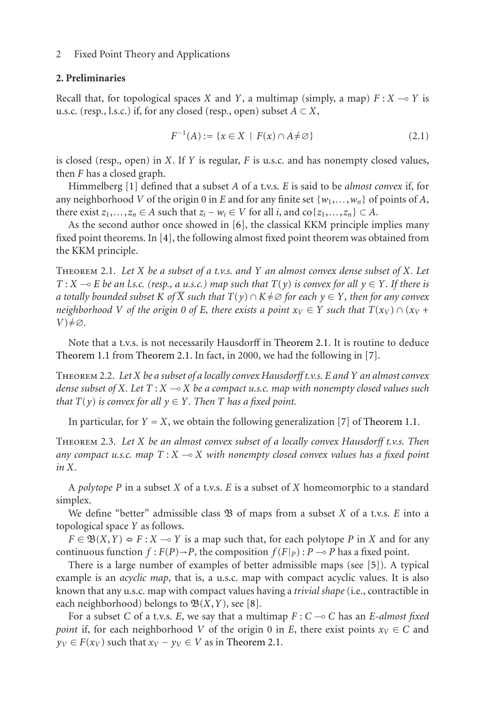#### 2 Fixed Point Theory and Applications

#### **2. Preliminaries**

Recall that, for topological spaces *X* and *Y*, a multimap (simply, a map)  $F: X \to Y$  is u.s.c. (resp., l.s.c.) if, for any closed (resp., open) subset  $A \subset X$ ,

$$
F^{-1}(A) := \{ x \in X \mid F(x) \cap A \neq \varnothing \}
$$
 (2.1)

is closed (resp., open) in *X*. If *Y* is regular, *F* is u.s.c. and has nonempty closed values, then *F* has a closed graph.

Himmelberg [\[1\]](#page-3-1) defined that a subset *A* of a t.v.s. *E* is said to be *almost convex* if, for any neighborhood *V* of the origin 0 in *E* and for any finite set  $\{w_1, \ldots, w_n\}$  of points of *A*, there exist  $z_1, \ldots, z_n \in A$  such that  $z_i - w_i \in V$  for all *i*, and  $\text{co}\{z_1, \ldots, z_n\} \subset A$ .

As the second author once showed in [\[6\]](#page-3-5), the classical KKM principle implies many fixed point theorems. In [\[4](#page-3-6)], the following almost fixed point theorem was obtained from the KKM principle.

<span id="page-1-0"></span>Theorem 2.1. *Let X be a subset of a t.v.s. and Y an almost convex dense subset of X. Let*  $T: X \to E$  *be an l.s.c. (resp., a u.s.c.) map such that*  $T(y)$  *is convex for all*  $y \in Y$ *. If there is a totally bounded subset K of*  $\overline{X}$  *such that*  $T(y) \cap K \neq \emptyset$  *for each*  $y \in Y$ *, then for any convex neighborhood V* of the origin 0 of *E*, there exists a point  $x_V \in Y$  such that  $T(x_V) \cap (x_V +$ *V*)≠∅.

<span id="page-1-2"></span>Note that a t.v.s. is not necessarily Hausdorff in [Theorem 2.1.](#page-1-0) It is routine to deduce [Theorem 1.1](#page-0-0) from [Theorem 2.1.](#page-1-0) In fact, in 2000, we had the following in [\[7\]](#page-3-7).

Theorem 2.2. *Let X be a subset of a locally convex Hausdorff t.v.s. E and Y an almost convex dense subset of X. Let T* : *X* - *X be a compact u.s.c. map with nonempty closed values such that*  $T(y)$  *is convex for all*  $y \in Y$ *. Then T has a fixed point.* 

<span id="page-1-1"></span>In particular, for  $Y = X$ , we obtain the following generalization [\[7](#page-3-7)] of [Theorem 1.1.](#page-0-0)

Theorem 2.3. *Let X be an almost convex subset of a locally convex Hausdorff t.v.s. Then any compact u.s.c. map T* : *X* - *X with nonempty closed convex values has a fixed point in X.*

A *polytope P* in a subset *X* of a t.v.s. *E* is a subset of *X* homeomorphic to a standard simplex.

We define "better" admissible class  $\mathfrak B$  of maps from a subset *X* of a t.v.s. *E* into a topological space *Y* as follows.

 $F \in \mathfrak{B}(X,Y) \Leftrightarrow F : X \to Y$  is a map such that, for each polytope *P* in *X* and for any continuous function  $f : F(P) \to P$ , the composition  $f(F|_P) : P \to P$  has a fixed point.

There is a large number of examples of better admissible maps (see [\[5\]](#page-3-4)). A typical example is an *acyclic map*, that is, a u.s.c. map with compact acyclic values. It is also known that any u.s.c. map with compact values having a *trivial shape* (i.e., contractible in each neighborhood) belongs to  $\mathfrak{B}(X, Y)$ , see [\[8](#page-4-0)].

For a subset *C* of a t.v.s. *E*, we say that a multimap  $F: C \to C$  has an *E-almost fixed point* if, for each neighborhood *V* of the origin 0 in *E*, there exist points  $x_V \in C$  and  $y_V \in F(x_V)$  such that  $x_V - y_V \in V$  as in [Theorem 2.1.](#page-1-0)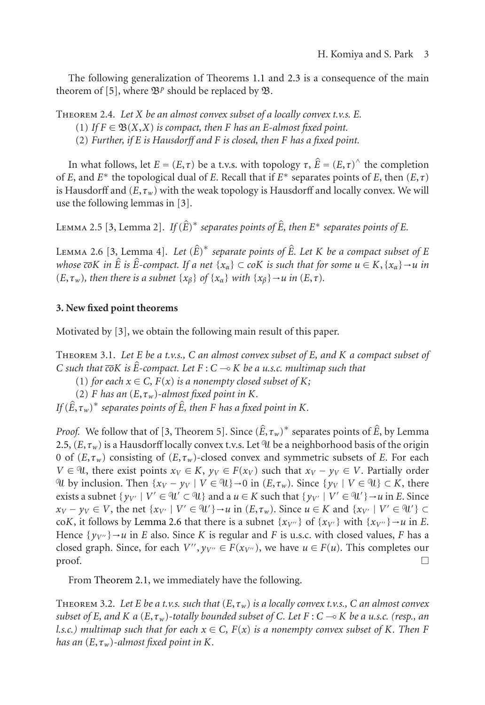<span id="page-2-4"></span>The following generalization of Theorems [1.1](#page-0-0) and [2.3](#page-1-1) is a consequence of the main theorem of [\[5](#page-3-4)], where  $\mathfrak{B}^p$  should be replaced by  $\mathfrak{B}$ .

Theorem 2.4. *Let X be an almost convex subset of a locally convex t.v.s. E.*

- (1) *If*  $F \in \mathfrak{B}(X,X)$  *is compact, then F has an E*-almost fixed point.
- (2) *Further, if E is Hausdorff and F is closed, then F has a fixed point.*

In what follows, let *E* = (*E*,*τ*) be a t.v.s. with topology *τ*,  $\hat{E} = (E, \tau)^\wedge$  the completion In what follows, let *E* = (*E*,*τ*) be a t.v.s. with topology *τ*,  $\hat{E} = (E, \tau)^\wedge$  the completion of *E*, and *E*<sup>∗</sup> the topological dual of *E*. Recall that if *E*<sup>∗</sup> separates points of *E*, then (*E*,*τ*) is Hausdorff and  $(E, \tau_w)$  with the weak topology is Hausdorff and locally convex. We will use the following lemmas in [\[3](#page-3-3)]. EMMA 2.5 [\[3,](#page-3-3) Lemma 2]. If  $(\hat{E})^*$  separates points of  $\hat{E}$ , then  $E^*$  separates points of  $E$ .<br>LEMMA 2.5 [\[3](#page-3-3), Lemma 2]. If  $(\hat{E})^*$  separates points of  $\hat{E}$ , then  $E^*$  separates points of  $E$ .<br>LEMMA 2.6 [3, Lemm

<span id="page-2-0"></span>

<span id="page-2-1"></span> $(\hat{E}, \hat{E})^*$  *separate points of*  $\hat{E}$ *. Let K be a compact subset of E k*<br>*LEMMA 2.6 [3, Lem<br><i>whose coK in Ê is Ê whose*  $\overline{co}K$  *in*  $\hat{E}$  *is*  $\hat{E}$ -compact. If a net  $\{x_\alpha\} \subset c \circ K$  *is such that for some*  $u \in K$ ,  $\{x_\alpha\} \to u$  *in*  $(E, \tau_w)$ *, then there is a subnet*  $\{x_\beta\}$  *of*  $\{x_\alpha\}$  *with*  $\{x_\beta\} \rightarrow u$  *in*  $(E, \tau)$ *.* 

### **3. New fixed point theorems**

<span id="page-2-2"></span>Motivated by [\[3\]](#page-3-3), we obtain the following main result of this paper.

Theorem 3.1. *Let E be a t.v.s., C an almost convex subset of E, and K a compact subset of C C such that*  $\overline{c}$ *oK is*  $\hat{E}$ *-compact. Let F* : *C* - *K be a u.s.c. multimap such that*

(1) *for each*  $x \in C$ *,*  $F(x)$  *is a nonempty closed subset of*  $K$ *;* 

(2) *F* has an  $(E, \tau_w)$ -almost fixed point in *K*.

*If* (*E*) *F has an* (*E*,  $\overline{r}(x)$  *is a nonempty closed subset of K*, (2) *F has an* (*E*,  $\tau_w$ )-almost fixed point in *K*. *If* ( $\hat{E}, \tau_w$ )<sup>\*</sup> separates points of  $\hat{E}$ , then *F* has a fixed point in *K*. *point in K*.<br>, *τ<sub>w</sub>*)\* separates points of  $\hat{E}$ , by Lemma [2.5,](#page-2-0)  $(E, \tau_w)$  is a Hausdorff locally convex t.v.s. Let  $^{\circ}$ U be a neighborhood basis of the origin 0 of  $(E, \tau_w)$  consisting of  $(E, \tau_w)$ -closed convex and symmetric subsets of *E*. For each *V* ∈  $\mathcal{U}$ , there exist points  $x_V$  ∈ *K*,  $y_V$  ∈ *F*( $x_V$ ) such that  $x_V$  −  $y_V$  ∈ *V*. Partially order  $\mathcal{U}$  by inclusion. Then {*x<sub>V</sub>* − *y<sub>V</sub>* | *V* ∈  $\mathcal{U}$ } → 0 in (*E*, *τ<sub>w</sub>*). Since {*y<sub>V</sub>* | *V* ∈  $\mathcal{U}$ } ⊂ *K*, there exists a subnet  $\{y_{V'} \mid V' \in \mathcal{U}' \subset \mathcal{U}\}\$  and a  $u \in K$  such that  $\{y_{V'} \mid V' \in \mathcal{U}'\} \rightarrow u$  in *E*. Since  $x_V - y_V \in V$ , the net  $\{x_{V'} \mid V' \in \mathcal{U}'\} \rightarrow u$  in  $(E, \tau_w)$ . Since  $u \in K$  and  $\{x_{V'} \mid V' \in \mathcal{U}'\} \subset$ co*K*, it follows by [Lemma 2.6](#page-2-1) that there is a subnet  $\{x_{V''}\}\$  of  $\{x_{V'}\}\$  with  $\{x_{V''}\}\rightarrow u$  in *E*. Hence  $\{y_{V''}\}\rightarrow u$  in *E* also. Since *K* is regular and *F* is u.s.c. with closed values, *F* has a closed graph. Since, for each  $V''$ ,  $y_{V''} \in F(x_{V''})$ , we have  $u \in F(u)$ . This completes our  $\Box$ 

<span id="page-2-3"></span>From [Theorem 2.1,](#page-1-0) we immediately have the following.

THEOREM 3.2. Let *E* be a t.v.s. such that  $(E, \tau_w)$  is a locally convex t.v.s., C an almost convex *subset of E, and K a* (*E*,*τw*)*-totally bounded subset of C. Let F* : *C* - *K be a u.s.c. (resp., an l.s.c.*) multimap such that for each  $x \in C$ ,  $F(x)$  is a nonempty convex subset of K. Then F *has an*  $(E, \tau_w)$ -almost fixed point in K.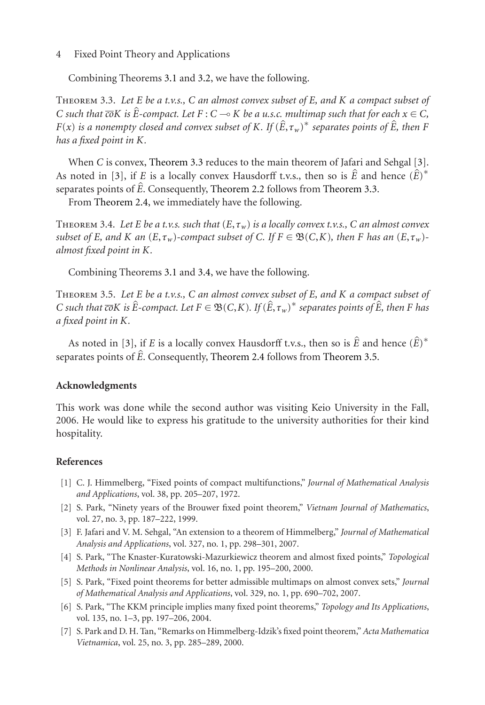#### 4 Fixed Point Theory and Applications

Combining Theorems [3.1](#page-2-2) and [3.2,](#page-2-3) we have the following.

<span id="page-3-8"></span>Theorem 3.3. *Let E be a t.v.s., C an almost convex subset of E, and K a compact subset of COILDDDDREM 3.3.* Let *E* be a t.v.s., *C* an almost convex subset of *E*, and *K* a compact subset of *C* such that  $\overline{c}$ o*K* is  $\hat{E}$ -compact. Let *F* : *C*  $\rightarrow$  *K* be a u.s.c. multimap such that for each  $x \in C$ , *FIFEOREM 3.3. Let E be a t.v.s., C an almost convex subset of E, and K a compact subset of**C such that* $\overline{co}K$ *is* $\hat{E}$ **-compact. Let**  $F : C \to K$  **be a u.s.c. multimap such that for each**  $x \in C$ **,**  $F(x)$ *is a nonempty has a fixed point in K.*

When *C* is convex, [Theorem 3.3](#page-3-8) reduces to the main theorem of Jafari and Sehgal [\[3\]](#page-3-3). When *C* is convex, Theorem 3.3 reduces to the main theorem of Jafari and Sehgal [\[3\]](#page-3-3).<br>As noted in [3], if *E* is a locally convex Hausdorff t.v.s., then so is  $\hat{E}$  and hence  $(\hat{E})^*$ When *C* is convex<br>As noted in [3], if *I*<br>separates points of  $\hat{E}$ separates points of  $\hat{E}$ . Consequently, [Theorem 2.2](#page-1-2) follows from [Theorem 3.3.](#page-3-8)

<span id="page-3-9"></span>From [Theorem 2.4,](#page-2-4) we immediately have the following.

Theorem 3.4. *Let E be a t.v.s. such that* (*E*,*τw*) *is a locally convex t.v.s., C an almost convex subset of E, and K an* (*E*,*τ<sub>w</sub>*)-*compact subset of C. If*  $F \in \mathfrak{B}(C,K)$ *, then F has an* (*E*,*τ<sub>w</sub>*)*almost fixed point in K.*

Combining Theorems [3.1](#page-2-2) and [3.4,](#page-3-9) we have the following.

<span id="page-3-10"></span>Theorem 3.5. *Let E be a t.v.s., C an almost convex subset of E, and K a compact subset of COILDDDING TREODERS 3.1 and 3.4, we have the following.*<br>
THEOREM 3.5. Let *E* be a t.v.s., *C* an almost convex subset of *E*, and *K* a compact subset of<br> *C* such that  $\overline{co}K$  is  $\hat{E}$ -compact. Let  $F \in \mathfrak{B}(C,K)$ *a fixed point in K.* As noted in [\[3\]](#page-3-3), if *E* is a locally convex Hausdorff t.v.s., then so is  $\hat{E}$  and hence  $(\hat{E})^*$ <br>As noted in [3], if *E* is a locally convex Hausdorff t.v.s., then so is  $\hat{E}$  and hence  $(\hat{E})^*$ 

separates point in K.<br>As noted in [3], if *E* is a locally convex Hausdorff t.v.s., then so is  $\hat{E}$  and<br>separates points of  $\hat{E}$ . Consequently, [Theorem 2.4](#page-2-4) follows from [Theorem 3.5.](#page-3-10)

#### **Acknowledgments**

This work was done while the second author was visiting Keio University in the Fall, 2006. He would like to express his gratitude to the university authorities for their kind hospitality.

#### <span id="page-3-0"></span>**References**

- <span id="page-3-1"></span>[1] C. J. Himmelberg, "Fixed points of compact multifunctions," *Journal of Mathematical Analysis and Applications*, vol. 38, pp. 205–207, 1972.
- <span id="page-3-2"></span>[2] S. Park, "Ninety years of the Brouwer fixed point theorem," *Vietnam Journal of Mathematics*, vol. 27, no. 3, pp. 187–222, 1999.
- <span id="page-3-3"></span>[3] F. Jafari and V. M. Sehgal, "An extension to a theorem of Himmelberg," *Journal of Mathematical Analysis and Applications*, vol. 327, no. 1, pp. 298–301, 2007.
- <span id="page-3-6"></span>[4] S. Park, "The Knaster-Kuratowski-Mazurkiewicz theorem and almost fixed points," *Topological Methods in Nonlinear Analysis*, vol. 16, no. 1, pp. 195–200, 2000.
- <span id="page-3-4"></span>[5] S. Park, "Fixed point theorems for better admissible multimaps on almost convex sets," *Journal of Mathematical Analysis and Applications*, vol. 329, no. 1, pp. 690–702, 2007.
- <span id="page-3-5"></span>[6] S. Park, "The KKM principle implies many fixed point theorems," *Topology and Its Applications*, vol. 135, no. 1–3, pp. 197–206, 2004.
- <span id="page-3-7"></span>[7] S. Park and D. H. Tan, "Remarks on Himmelberg-Idzik's fixed point theorem," *Acta Mathematica Vietnamica*, vol. 25, no. 3, pp. 285–289, 2000.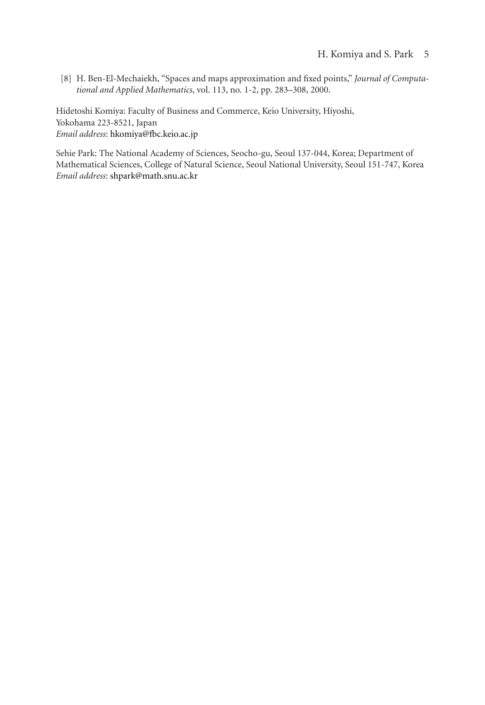<span id="page-4-0"></span>[8] H. Ben-El-Mechaiekh, "Spaces and maps approximation and fixed points," *Journal of Computational and Applied Mathematics*, vol. 113, no. 1-2, pp. 283–308, 2000.

Hidetoshi Komiya: Faculty of Business and Commerce, Keio University, Hiyoshi, Yokohama 223-8521, Japan *Email address*: [hkomiya@fbc.keio.ac.jp](mailto:hkomiya@fbc.keio.ac.jp)

Sehie Park: The National Academy of Sciences, Seocho-gu, Seoul 137-044, Korea; Department of Mathematical Sciences, College of Natural Science, Seoul National University, Seoul 151-747, Korea *Email address*: [shpark@math.snu.ac.kr](mailto:shpark@math.snu.ac.kr)